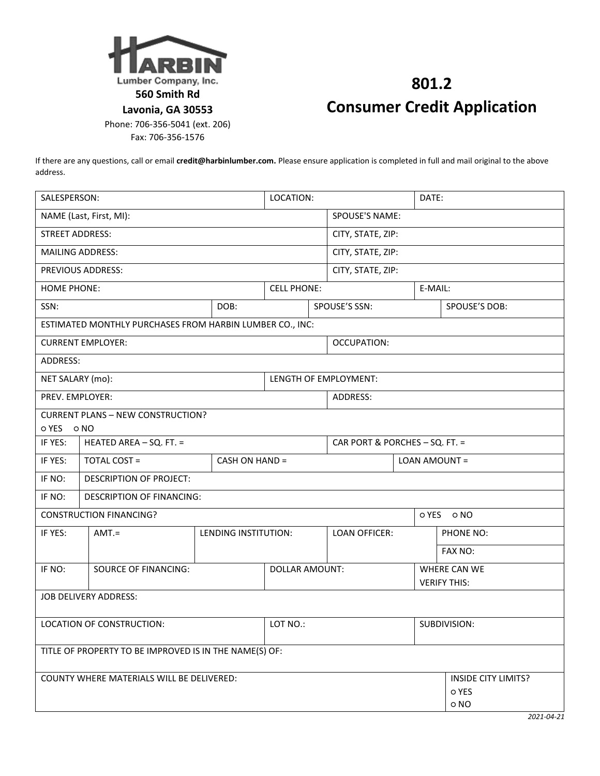

Fax: 706-356-1576

## **801.2 Consumer Credit Application**

If there are any questions, call or email **credit@harbinlumber.com.** Please ensure application is completed in full and mail original to the above address.

| SALESPERSON:                                             |                                |                       | LOCATION:          |                       | DATE:                          |                     |                            |  |
|----------------------------------------------------------|--------------------------------|-----------------------|--------------------|-----------------------|--------------------------------|---------------------|----------------------------|--|
| NAME (Last, First, MI):                                  |                                |                       | SPOUSE'S NAME:     |                       |                                |                     |                            |  |
| <b>STREET ADDRESS:</b>                                   |                                |                       |                    |                       | CITY, STATE, ZIP:              |                     |                            |  |
| <b>MAILING ADDRESS:</b>                                  |                                |                       |                    |                       | CITY, STATE, ZIP:              |                     |                            |  |
| PREVIOUS ADDRESS:                                        |                                |                       |                    |                       | CITY, STATE, ZIP:              |                     |                            |  |
| <b>HOME PHONE:</b>                                       |                                |                       | <b>CELL PHONE:</b> |                       | E-MAIL:                        |                     |                            |  |
| SSN:                                                     |                                | DOB:                  |                    |                       | SPOUSE'S SSN:                  |                     | SPOUSE'S DOB:              |  |
| ESTIMATED MONTHLY PURCHASES FROM HARBIN LUMBER CO., INC: |                                |                       |                    |                       |                                |                     |                            |  |
| <b>CURRENT EMPLOYER:</b>                                 |                                |                       |                    | OCCUPATION:           |                                |                     |                            |  |
| ADDRESS:                                                 |                                |                       |                    |                       |                                |                     |                            |  |
| NET SALARY (mo):                                         |                                |                       |                    | LENGTH OF EMPLOYMENT: |                                |                     |                            |  |
| PREV. EMPLOYER:                                          |                                |                       |                    |                       | ADDRESS:                       |                     |                            |  |
| <b>CURRENT PLANS - NEW CONSTRUCTION?</b>                 |                                |                       |                    |                       |                                |                     |                            |  |
| OYES ONO                                                 |                                |                       |                    |                       |                                |                     |                            |  |
| IF YES:                                                  | HEATED AREA - SQ. FT. =        |                       |                    |                       | CAR PORT & PORCHES - SQ. FT. = |                     |                            |  |
| IF YES:                                                  | <b>TOTAL COST =</b>            | CASH ON HAND =        |                    |                       | LOAN AMOUNT =                  |                     |                            |  |
| IF NO:                                                   | <b>DESCRIPTION OF PROJECT:</b> |                       |                    |                       |                                |                     |                            |  |
| IF NO:<br><b>DESCRIPTION OF FINANCING:</b>               |                                |                       |                    |                       |                                |                     |                            |  |
| <b>CONSTRUCTION FINANCING?</b><br>o YES<br>o NO          |                                |                       |                    |                       |                                |                     |                            |  |
| IF YES:                                                  | $AMT =$                        | LENDING INSTITUTION:  |                    |                       | <b>LOAN OFFICER:</b>           |                     | PHONE NO:                  |  |
|                                                          |                                |                       |                    |                       |                                |                     | FAX NO:                    |  |
| IF NO:                                                   | <b>SOURCE OF FINANCING:</b>    | <b>DOLLAR AMOUNT:</b> |                    |                       |                                |                     | WHERE CAN WE               |  |
|                                                          |                                |                       |                    |                       |                                | <b>VERIFY THIS:</b> |                            |  |
| <b>JOB DELIVERY ADDRESS:</b>                             |                                |                       |                    |                       |                                |                     |                            |  |
| LOCATION OF CONSTRUCTION:                                | LOT NO.:                       |                       |                    | SUBDIVISION:          |                                |                     |                            |  |
|                                                          |                                |                       |                    |                       |                                |                     |                            |  |
| TITLE OF PROPERTY TO BE IMPROVED IS IN THE NAME(S) OF:   |                                |                       |                    |                       |                                |                     |                            |  |
|                                                          |                                |                       |                    |                       |                                |                     |                            |  |
| <b>COUNTY WHERE MATERIALS WILL BE DELIVERED:</b>         |                                |                       |                    |                       |                                |                     | <b>INSIDE CITY LIMITS?</b> |  |
|                                                          |                                |                       |                    |                       |                                |                     | o YES<br>o NO              |  |
|                                                          |                                |                       |                    |                       |                                |                     |                            |  |